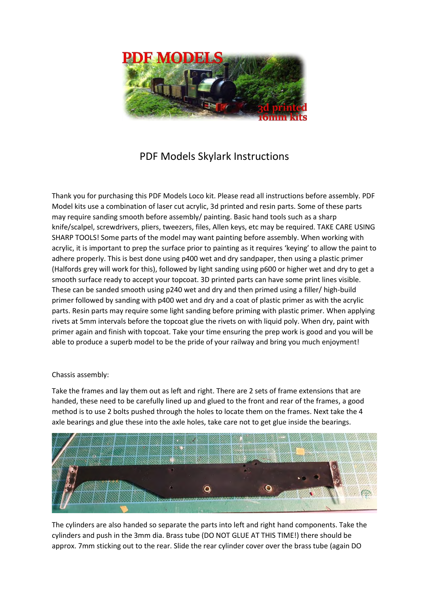

## PDF Models Skylark Instructions

Thank you for purchasing this PDF Models Loco kit. Please read all instructions before assembly. PDF Model kits use a combination of laser cut acrylic, 3d printed and resin parts. Some of these parts may require sanding smooth before assembly/ painting. Basic hand tools such as a sharp knife/scalpel, screwdrivers, pliers, tweezers, files, Allen keys, etc may be required. TAKE CARE USING SHARP TOOLS! Some parts of the model may want painting before assembly. When working with acrylic, it is important to prep the surface prior to painting as it requires 'keying' to allow the paint to adhere properly. This is best done using p400 wet and dry sandpaper, then using a plastic primer (Halfords grey will work for this), followed by light sanding using p600 or higher wet and dry to get a smooth surface ready to accept your topcoat. 3D printed parts can have some print lines visible. These can be sanded smooth using p240 wet and dry and then primed using a filler/ high-build primer followed by sanding with p400 wet and dry and a coat of plastic primer as with the acrylic parts. Resin parts may require some light sanding before priming with plastic primer. When applying rivets at 5mm intervals before the topcoat glue the rivets on with liquid poly. When dry, paint with primer again and finish with topcoat. Take your time ensuring the prep work is good and you will be able to produce a superb model to be the pride of your railway and bring you much enjoyment!

## Chassis assembly:

Take the frames and lay them out as left and right. There are 2 sets of frame extensions that are handed, these need to be carefully lined up and glued to the front and rear of the frames, a good method is to use 2 bolts pushed through the holes to locate them on the frames. Next take the 4 axle bearings and glue these into the axle holes, take care not to get glue inside the bearings.



The cylinders are also handed so separate the parts into left and right hand components. Take the cylinders and push in the 3mm dia. Brass tube (DO NOT GLUE AT THIS TIME!) there should be approx. 7mm sticking out to the rear. Slide the rear cylinder cover over the brass tube (again DO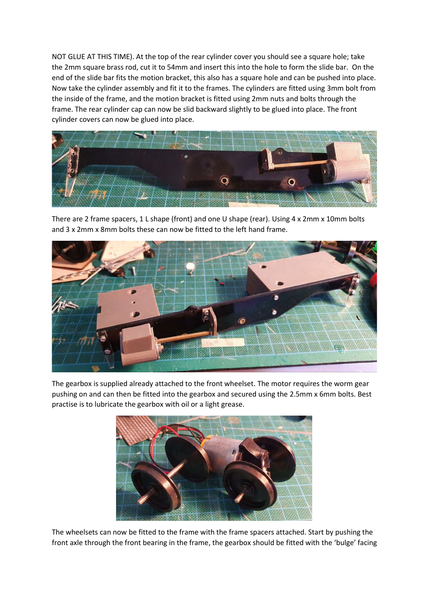NOT GLUE AT THIS TIME). At the top of the rear cylinder cover you should see a square hole; take the 2mm square brass rod, cut it to 54mm and insert this into the hole to form the slide bar. On the end of the slide bar fits the motion bracket, this also has a square hole and can be pushed into place. Now take the cylinder assembly and fit it to the frames. The cylinders are fitted using 3mm bolt from the inside of the frame, and the motion bracket is fitted using 2mm nuts and bolts through the frame. The rear cylinder cap can now be slid backward slightly to be glued into place. The front cylinder covers can now be glued into place.



There are 2 frame spacers, 1 L shape (front) and one U shape (rear). Using 4 x 2mm x 10mm bolts and 3 x 2mm x 8mm bolts these can now be fitted to the left hand frame.



The gearbox is supplied already attached to the front wheelset. The motor requires the worm gear pushing on and can then be fitted into the gearbox and secured using the 2.5mm x 6mm bolts. Best practise is to lubricate the gearbox with oil or a light grease.



The wheelsets can now be fitted to the frame with the frame spacers attached. Start by pushing the front axle through the front bearing in the frame, the gearbox should be fitted with the 'bulge' facing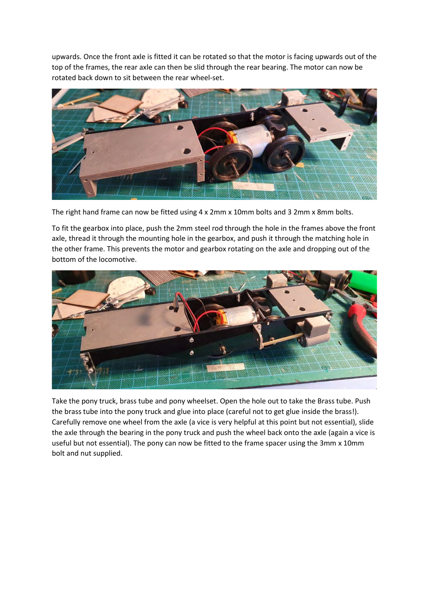upwards. Once the front axle is fitted it can be rotated so that the motor is facing upwards out of the top of the frames, the rear axle can then be slid through the rear bearing. The motor can now be rotated back down to sit between the rear wheel-set.



The right hand frame can now be fitted using 4 x 2mm x 10mm bolts and 3 2mm x 8mm bolts.

To fit the gearbox into place, push the 2mm steel rod through the hole in the frames above the front axle, thread it through the mounting hole in the gearbox, and push it through the matching hole in the other frame. This prevents the motor and gearbox rotating on the axle and dropping out of the bottom of the locomotive.



Take the pony truck, brass tube and pony wheelset. Open the hole out to take the Brass tube. Push the brass tube into the pony truck and glue into place (careful not to get glue inside the brass!). Carefully remove one wheel from the axle (a vice is very helpful at this point but not essential), slide the axle through the bearing in the pony truck and push the wheel back onto the axle (again a vice is useful but not essential). The pony can now be fitted to the frame spacer using the 3mm x 10mm bolt and nut supplied.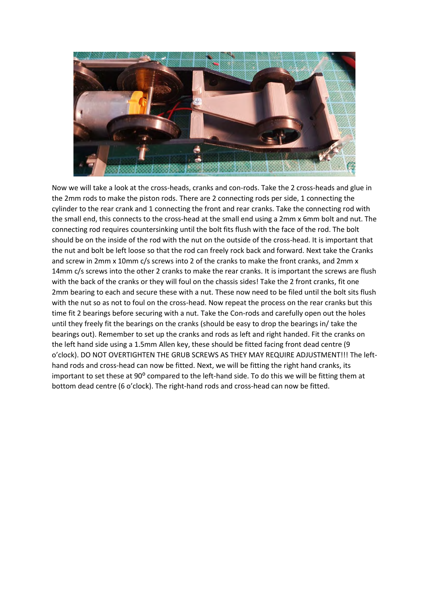

Now we will take a look at the cross-heads, cranks and con-rods. Take the 2 cross-heads and glue in the 2mm rods to make the piston rods. There are 2 connecting rods per side, 1 connecting the cylinder to the rear crank and 1 connecting the front and rear cranks. Take the connecting rod with the small end, this connects to the cross-head at the small end using a 2mm x 6mm bolt and nut. The connecting rod requires countersinking until the bolt fits flush with the face of the rod. The bolt should be on the inside of the rod with the nut on the outside of the cross-head. It is important that the nut and bolt be left loose so that the rod can freely rock back and forward. Next take the Cranks and screw in 2mm x 10mm c/s screws into 2 of the cranks to make the front cranks, and 2mm x 14mm c/s screws into the other 2 cranks to make the rear cranks. It is important the screws are flush with the back of the cranks or they will foul on the chassis sides! Take the 2 front cranks, fit one 2mm bearing to each and secure these with a nut. These now need to be filed until the bolt sits flush with the nut so as not to foul on the cross-head. Now repeat the process on the rear cranks but this time fit 2 bearings before securing with a nut. Take the Con-rods and carefully open out the holes until they freely fit the bearings on the cranks (should be easy to drop the bearings in/ take the bearings out). Remember to set up the cranks and rods as left and right handed. Fit the cranks on the left hand side using a 1.5mm Allen key, these should be fitted facing front dead centre (9 o'clock). DO NOT OVERTIGHTEN THE GRUB SCREWS AS THEY MAY REQUIRE ADJUSTMENT!!! The lefthand rods and cross-head can now be fitted. Next, we will be fitting the right hand cranks, its important to set these at 90° compared to the left-hand side. To do this we will be fitting them at bottom dead centre (6 o'clock). The right-hand rods and cross-head can now be fitted.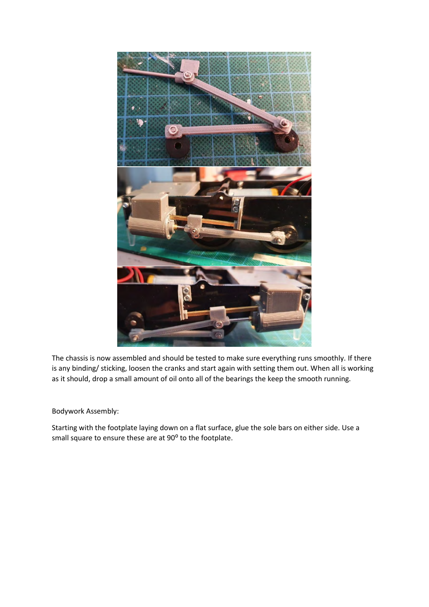

The chassis is now assembled and should be tested to make sure everything runs smoothly. If there is any binding/ sticking, loosen the cranks and start again with setting them out. When all is working as it should, drop a small amount of oil onto all of the bearings the keep the smooth running.

Bodywork Assembly:

Starting with the footplate laying down on a flat surface, glue the sole bars on either side. Use a small square to ensure these are at 90° to the footplate.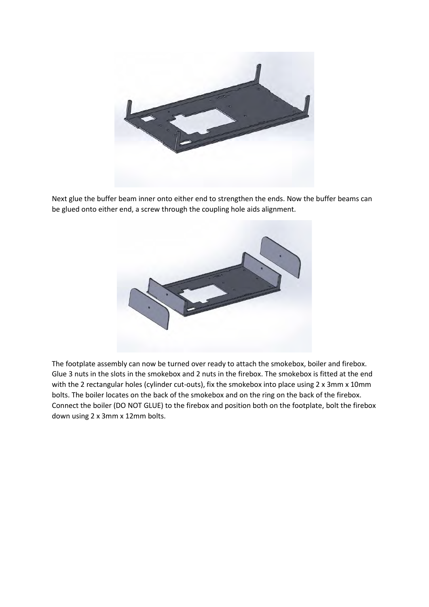

Next glue the buffer beam inner onto either end to strengthen the ends. Now the buffer beams can be glued onto either end, a screw through the coupling hole aids alignment.



The footplate assembly can now be turned over ready to attach the smokebox, boiler and firebox. Glue 3 nuts in the slots in the smokebox and 2 nuts in the firebox. The smokebox is fitted at the end with the 2 rectangular holes (cylinder cut-outs), fix the smokebox into place using 2 x 3mm x 10mm bolts. The boiler locates on the back of the smokebox and on the ring on the back of the firebox. Connect the boiler (DO NOT GLUE) to the firebox and position both on the footplate, bolt the firebox down using 2 x 3mm x 12mm bolts.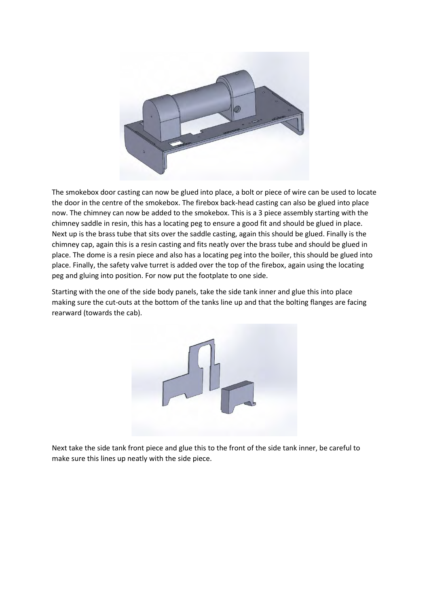

The smokebox door casting can now be glued into place, a bolt or piece of wire can be used to locate the door in the centre of the smokebox. The firebox back-head casting can also be glued into place now. The chimney can now be added to the smokebox. This is a 3 piece assembly starting with the chimney saddle in resin, this has a locating peg to ensure a good fit and should be glued in place. Next up is the brass tube that sits over the saddle casting, again this should be glued. Finally is the chimney cap, again this is a resin casting and fits neatly over the brass tube and should be glued in place. The dome is a resin piece and also has a locating peg into the boiler, this should be glued into place. Finally, the safety valve turret is added over the top of the firebox, again using the locating peg and gluing into position. For now put the footplate to one side.

Starting with the one of the side body panels, take the side tank inner and glue this into place making sure the cut-outs at the bottom of the tanks line up and that the bolting flanges are facing rearward (towards the cab).



Next take the side tank front piece and glue this to the front of the side tank inner, be careful to make sure this lines up neatly with the side piece.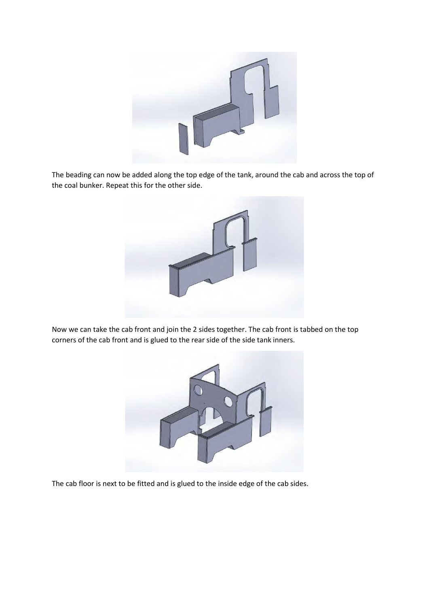

The beading can now be added along the top edge of the tank, around the cab and across the top of the coal bunker. Repeat this for the other side.



Now we can take the cab front and join the 2 sides together. The cab front is tabbed on the top corners of the cab front and is glued to the rear side of the side tank inners.



The cab floor is next to be fitted and is glued to the inside edge of the cab sides.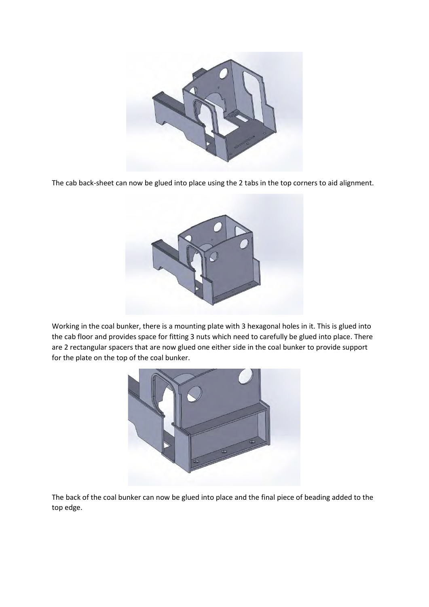

The cab back-sheet can now be glued into place using the 2 tabs in the top corners to aid alignment.



Working in the coal bunker, there is a mounting plate with 3 hexagonal holes in it. This is glued into the cab floor and provides space for fitting 3 nuts which need to carefully be glued into place. There are 2 rectangular spacers that are now glued one either side in the coal bunker to provide support for the plate on the top of the coal bunker.



The back of the coal bunker can now be glued into place and the final piece of beading added to the top edge.